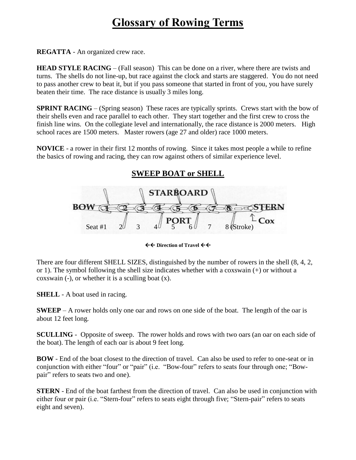## **Glossary of Rowing Terms**

**REGATTA** - An organized crew race.

**HEAD STYLE RACING** – (Fall season) This can be done on a river, where there are twists and turns. The shells do not line-up, but race against the clock and starts are staggered. You do not need to pass another crew to beat it, but if you pass someone that started in front of you, you have surely beaten their time. The race distance is usually 3 miles long.

**SPRINT RACING** – (Spring season) These races are typically sprints. Crews start with the bow of their shells even and race parallel to each other. They start together and the first crew to cross the finish line wins. On the collegiate level and internationally, the race distance is 2000 meters. High school races are 1500 meters. Master rowers (age 27 and older) race 1000 meters.

**NOVICE** - a rower in their first 12 months of rowing. Since it takes most people a while to refine the basics of rowing and racing, they can row against others of similar experience level.

## **SWEEP BOAT or SHELL**



 $\leftarrow$  **+ Direction of Travel ← ←** 

There are four different SHELL SIZES, distinguished by the number of rowers in the shell (8, 4, 2, or 1). The symbol following the shell size indicates whether with a coxswain (+) or without a coxswain  $(-)$ , or whether it is a sculling boat  $(x)$ .

**SHELL** - A boat used in racing.

**SWEEP** – A rower holds only one oar and rows on one side of the boat. The length of the oar is about 12 feet long.

**SCULLING** - Opposite of sweep. The rower holds and rows with two oars (an oar on each side of the boat). The length of each oar is about 9 feet long.

**BOW** - End of the boat closest to the direction of travel. Can also be used to refer to one-seat or in conjunction with either "four" or "pair" (i.e. "Bow-four" refers to seats four through one; "Bowpair" refers to seats two and one).

**STERN** - End of the boat farthest from the direction of travel. Can also be used in conjunction with either four or pair (i.e. "Stern-four" refers to seats eight through five; "Stern-pair" refers to seats eight and seven).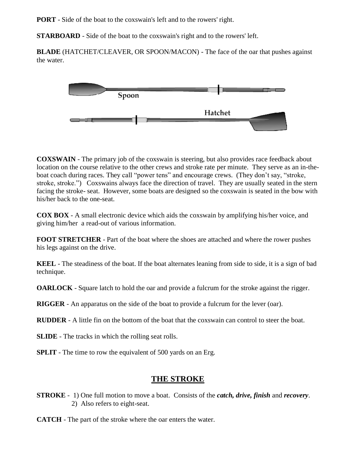**PORT** - Side of the boat to the coxswain's left and to the rowers' right.

**STARBOARD** - Side of the boat to the coxswain's right and to the rowers' left.

**BLADE** (HATCHET/CLEAVER, OR SPOON/MACON) - The face of the oar that pushes against the water.



**COXSWAIN** - The primary job of the coxswain is steering, but also provides race feedback about location on the course relative to the other crews and stroke rate per minute. They serve as an in-theboat coach during races. They call "power tens" and encourage crews. (They don't say, "stroke, stroke, stroke.") Coxswains always face the direction of travel. They are usually seated in the stern facing the stroke- seat. However, some boats are designed so the coxswain is seated in the bow with his/her back to the one-seat.

**COX BOX** - A small electronic device which aids the [coxswain](http://andovercrew.com/glossary.htm#coxswain) by amplifying his/her voice, and giving him/her a read-out of various information.

**FOOT STRETCHER** - Part of the boat where the shoes are attached and where the rower pushes his legs against on the drive.

**KEEL** - The steadiness of the boat. If the boat alternates leaning from side to side, it is a sign of bad technique.

**OARLOCK** - Square latch to hold the oar and provide a fulcrum for the stroke against the [rigger.](http://andovercrew.com/glossary.htm#rigger)

**RIGGER** - An apparatus on the side of the boat to provide a fulcrum for the lever (oar).

**RUDDER** - A little fin on the bottom of the boat that the coxswain can control to steer the boat.

**SLIDE** - The tracks in which the rolling seat rolls.

**SPLIT** - The time to row the equivalent of 500 yards on an Erg.

## **THE STROKE**

**STROKE** - 1) One full motion to move a boat. Consists of the *catch, drive, finish* and *recovery*. 2) Also refers to eight-seat.

**CATCH** - The part of the stroke where the oar enters the water.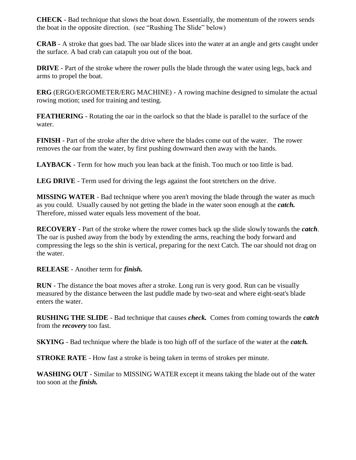**CHECK** - Bad technique that slows the boat down. Essentially, the momentum of the rowers sends the boat in the opposite direction. (see "Rushing The Slide" below)

**CRAB** - A stroke that goes bad. The oar blade slices into the water at an angle and gets caught under the surface. A bad crab can catapult you out of the boat.

**DRIVE** - Part of the stroke where the rower pulls the blade through the water using legs, back and arms to propel the boat.

**ERG** (ERGO/ERGOMETER/ERG MACHINE) - A rowing machine designed to simulate the actual rowing motion; used for training and testing.

**FEATHERING** - Rotating the oar in the oarlock so that the blade is parallel to the surface of the water.

**FINISH** - Part of the stroke after the [drive](http://andovercrew.com/glossary.htm#drive) where the blades come out of the water. The rower removes the oar from the water, by first pushing downward then away with the hands.

**LAYBACK** - Term for how much you lean back at the finish. Too much or too little is bad.

**LEG DRIVE** - Term used for driving the legs against the foot stretchers on the [drive.](http://andovercrew.com/glossary.htm#drive)

**MISSING WATER** - Bad technique where you aren't moving the blade through the water as much as you could. Usually caused by not getting the blade in the water soon enough at the *[catch.](http://andovercrew.com/glossary.htm#catch)* Therefore, missed water equals less movement of the boat.

**RECOVERY** - Part of the stroke where the rower comes back up the slide slowly towards the *[catch](http://andovercrew.com/glossary.htm#catch)*. The oar is pushed away from the body by extending the arms, reaching the body forward and compressing the legs so the shin is vertical, preparing for the next Catch. The oar should not drag on the water.

**RELEASE** - Another term for *finish.*

**RUN** - The distance the boat moves after a stroke. Long run is very good. Run can be visually measured by the distance between the last puddle made by two-seat and where eight-seat's blade enters the water.

**RUSHING THE SLIDE** - Bad technique that causes *check.* Comes from coming towards the *catch*  from the *recovery* too fast.

**SKYING** - Bad technique where the blade is too high off of the surface of the water at the *catch.*

**STROKE RATE** - How fast a stroke is being taken in terms of strokes per minute.

**WASHING OUT** - Similar to MISSING WATER except it means taking the blade out of the water too soon at the *[finish.](http://andovercrew.com/glossary.htm#finish)*